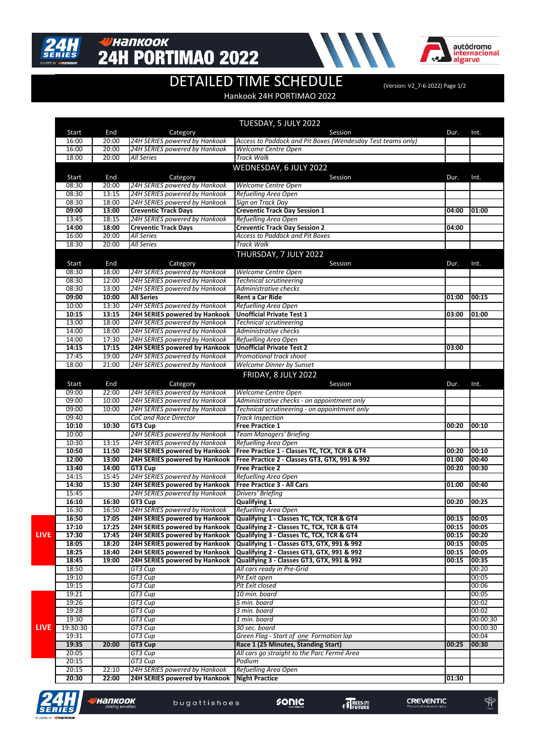

#### <mark>у</mark>напкоок **24H PORTIMAO 2022**



 $\overline{\widetilde{M}}$ 

# DETAILED TIME SCHEDULE (Version: V2\_7-6-2022) Page 1/2

#### Hankook 24H PORTIMAO 2022

|             |                |              |                               | TUESDAY, 5 JULY 2022                                                      |       |          |
|-------------|----------------|--------------|-------------------------------|---------------------------------------------------------------------------|-------|----------|
|             | Start          | End          | Category                      | Session                                                                   | Dur.  | Int.     |
|             | 16:00          | 20:00        | 24H SERIES powered by Hankook | Access to Paddock and Pit Boxes (Wendesday Test teams only)               |       |          |
|             | 16:00          | 20:00        | 24H SERIES powered by Hankook | <b>Welcome Centre Open</b>                                                |       |          |
|             | 18:00          | 20:00        | All Series                    | Track Walk                                                                |       |          |
|             |                |              |                               | WEDNESDAY, 6 JULY 2022                                                    |       |          |
|             |                |              |                               | Session                                                                   |       |          |
|             | Start<br>08:30 | End<br>20:00 | Category                      | Welcome Centre Open                                                       | Dur.  | Int.     |
|             |                |              | 24H SERIES powered by Hankook |                                                                           |       |          |
|             | 08:30          | 13:15        | 24H SERIES powered by Hankook | Refuelling Area Open                                                      |       |          |
|             | 08:30          | 18:00        | 24H SERIES powered by Hankook | Sign on Track Day                                                         |       |          |
|             | 09:00          | 13:00        | <b>Creventic Track Days</b>   | <b>Creventic Track Day Session 1</b>                                      | 04:00 | 01:00    |
|             | 13:45          | 18:15        | 24H SERIES powered by Hankook | Refuelling Area Open                                                      |       |          |
|             | 14:00          | 18:00        | <b>Creventic Track Days</b>   | <b>Creventic Track Day Session 2</b>                                      | 04:00 |          |
|             | 16:00          | 20:00        | All Series                    | Access to Paddock and Pit Boxes                                           |       |          |
|             | 18:30          | 20:00        | <b>All Series</b>             | <b>Track Walk</b>                                                         |       |          |
|             |                |              |                               | THURSDAY, 7 JULY 2022                                                     |       |          |
|             | Start          | End          | Category                      | Session                                                                   | Dur.  | Int.     |
|             | 08:30          | 18:00        | 24H SERIES powered by Hankook | Welcome Centre Open                                                       |       |          |
|             | 08:30          | 12:00        | 24H SERIES powered by Hankook | Technical scrutineering                                                   |       |          |
|             | 08:30          | 13:00        | 24H SERIES powered by Hankook | Administrative checks                                                     |       |          |
|             | 09:00          | 10:00        | <b>All Series</b>             | Rent a Car Ride                                                           | 01:00 | 00:15    |
|             | 10:00          | 13:30        | 24H SERIES powered by Hankook | Refuelling Area Open                                                      |       |          |
|             | 10:15          | 13:15        | 24H SERIES powered by Hankook | <b>Unofficial Private Test 1</b>                                          | 03:00 | 01:00    |
|             | 13:00          | 18:00        | 24H SERIES powered by Hankook | <b>Technical scrutineering</b>                                            |       |          |
|             | 14:00          | 18:00        | 24H SERIES powered by Hankook | Administrative checks                                                     |       |          |
|             | 14:00          | 17:30        | 24H SERIES powered by Hankook |                                                                           |       |          |
|             |                | 17:15        |                               | Refuelling Area Open<br><b>Unofficial Private Test 2</b>                  |       |          |
|             | 14:15          |              | 24H SERIES powered by Hankook |                                                                           | 03:00 |          |
|             | 17:45          | 19:00        | 24H SERIES powered by Hankook | Promotional track shoot                                                   |       |          |
|             | 18:00          | 21:00        | 24H SERIES powered by Hankook | <b>Welcome Dinner by Sunset</b>                                           |       |          |
|             |                |              |                               | FRIDAY, 8 JULY 2022                                                       |       |          |
|             | Start          | End          | Category                      | Session                                                                   | Dur.  | Int.     |
|             | 09:00          | 22:00        | 24H SERIES powered by Hankook | Welcome Centre Open                                                       |       |          |
|             | 09:00          | 10:00        | 24H SERIES powered by Hankook | Administrative checks - on appointment only                               |       |          |
|             | 09:00          | 10:00        | 24H SERIES powered by Hankook | Technical scrutineering - on appointment only                             |       |          |
|             | 09:40          |              | CoC and Race Director         | Track Inspection                                                          |       |          |
|             | 10:10          | 10:30        | GT3 Cup                       | <b>Free Practice 1</b>                                                    | 00:20 | 00:10    |
|             | 10:00          |              | 24H SERIES powered by Hankook | <b>Team Managers' Briefing</b>                                            |       |          |
|             | 10:30          | 13:15        | 24H SERIES powered by Hankook | Refuelling Area Open                                                      |       |          |
|             | 10:50          | 11:50        | 24H SERIES powered by Hankook | Free Practice 1 - Classes TC, TCX, TCR & GT4                              | 00:20 | 00:10    |
|             | 12:00          | 13:00        | 24H SERIES powered by Hankook | Free Practice 2 - Classes GT3, GTX, 991 & 992                             | 01:00 | 00:40    |
|             | 13:40          | 14:00        | GT3 Cup                       | <b>Free Practice 2</b>                                                    | 00:20 | 00:30    |
|             | 14:15          | 15:45        | 24H SERIES powered by Hankook | Refuelling Area Open                                                      |       |          |
|             | 14:30          | 15:30        | 24H SERIES powered by Hankook | <b>Free Practice 3 - All Cars</b>                                         | 01:00 | 00:40    |
|             | 15:45          |              | 24H SERIES powered by Hankook | Drivers' Briefing                                                         |       |          |
|             | 16:10          | 16:30        | GT3 Cup                       | <b>Qualifying 1</b>                                                       | 00:20 | 00:25    |
|             | 16:30          | 16:50        | 24H SERIES powered by Hankook | Refuelling Area Open                                                      |       |          |
|             | 16:50          | 17:05        |                               | 24H SERIES powered by Hankook   Qualifying 1 - Classes TC, TCX, TCR & GT4 | 00:15 | 100:05   |
|             | 17:10          | 17:25        | 24H SERIES powered by Hankook | Qualifying 2 - Classes TC, TCX, TCR & GT4                                 | 00:15 | 100:05   |
| <b>LIVE</b> | 17:30          | 17:45        | 24H SERIES powered by Hankook | Qualifying 3 - Classes TC, TCX, TCR & GT4                                 | 00:15 | 00:20    |
|             | 18:05          | 18:20        | 24H SERIES powered by Hankook | Qualifying 1 - Classes GT3, GTX, 991 & 992                                | 00:15 | 00:05    |
|             | 18:25          | 18:40        | 24H SERIES powered by Hankook | Qualifying 2 - Classes GT3, GTX, 991 & 992                                | 00:15 | 00:05    |
|             | 18:45          | 19:00        | 24H SERIES powered by Hankook | Qualifying 3 - Classes GT3, GTX, 991 & 992                                | 00:15 | 00:35    |
|             | 18:50          |              | GT3 Cup                       | All cars ready in Pre-Grid                                                |       | 00:20    |
|             | 19:10          |              | GT3 Cup                       | Pit Exit open                                                             |       | 00:05    |
|             |                |              |                               |                                                                           |       |          |
|             | 19:15          |              | GT3 Cup                       | Pit Exit closed                                                           |       | 00:06    |
|             | 19:21          |              | GT3 Cup                       | 10 min. board                                                             |       | 00:05    |
|             | 19:26          |              | GT3 Cup                       | 5 min. board                                                              |       | 00:02    |
|             | 19:28          |              | GT3 Cup                       | 3 min. board                                                              |       | 00:02    |
|             | 19:30          |              | GT3 Cup                       | 1 min. board                                                              |       | 00:00:30 |
| LIVE        | 19:30:30       |              | GT3 Cup                       | 30 sec. board                                                             |       | 00:00:30 |
|             | 19:31          |              | GT3 Cup                       | Green Flag - Start of one Formation lap                                   |       | 00:04    |
|             | 19:35          | 20:00        | GT3 Cup                       | Race 1 (25 Minutes, Standing Start)                                       | 00:25 | 00:30    |
|             | 20:05          |              | GT3 Cup                       | All cars go straight to the Parc Fermé Area                               |       |          |
|             | 20:15          |              | GT3 Cup                       | Podium                                                                    |       |          |
|             | 20:15          | 22:10        | 24H SERIES powered by Hankook | Refuelling Area Open                                                      |       |          |
|             | 20:30          | 22:00        | 24H SERIES powered by Hankook | <b>Night Practice</b>                                                     | 01:30 |          |